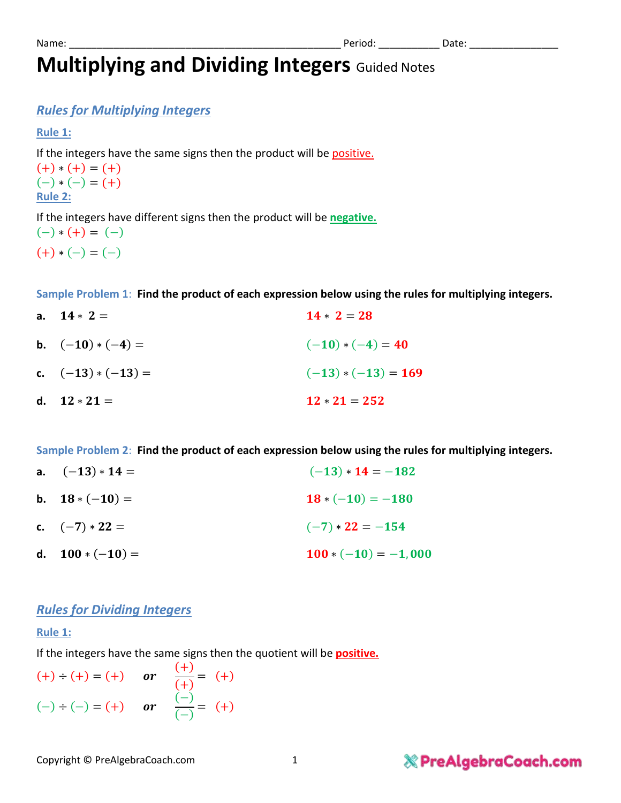## **Multiplying and Dividing Integers** Guided Notes

## *Rules for Multiplying Integers*

#### **Rule 1:**

If the integers have the same signs then the product will be positive.

 $(+) * (+) = (+)$  $(-) * (-) = (+)$ **Rule 2:** 

If the integers have different signs then the product will be **negative.**

 $(-) * (+) = (-)$  $(+) * (-) = (-)$ 

**Sample Problem 1**: **Find the product of each expression below using the rules for multiplying integers.**

**a.**  $14 \times 2 = 28$ **b.**  $(-10) * (-4) =$   $(-10) * (-4) = 40$ **c.**  $(-13) * (-13) = (-13) * (-13) = 169$ d.  $12 \times 21 = 252$ 

**Sample Problem 2**: **Find the product of each expression below using the rules for multiplying integers.**

**a.**  $(-13) * 14 =$   $(-13) * 14 = -182$ **b.**  $18*(-10) = 180$ **c.**  $(-7) \times 22 =$   $(-7) \times 22 = -154$ **d.**  $100*(-10) =$   $100*(-10) = -1,000$ 

### *Rules for Dividing Integers*

### **Rule 1:**

If the integers have the same signs then the quotient will be **positive.**

$$
(+)
$$
 ÷  $(+)$  = (+) or  $\frac{(+)}{(+)}$  = (+)  
\n $(-)$  ÷  $(-)$  = (+) or  $\frac{(-)}{(-)}$  = (+)

## **& PreAlgebraCoach.com**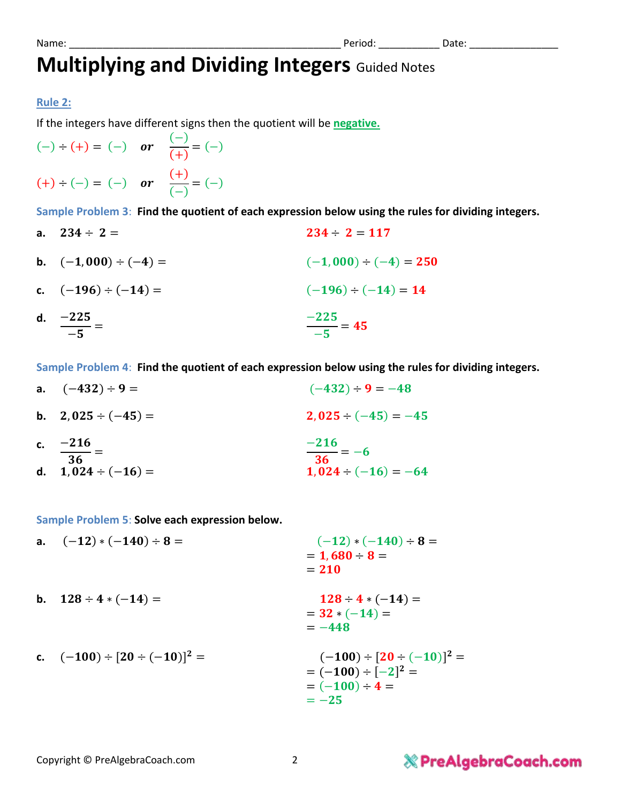## **Multiplying and Dividing Integers** Guided Notes

#### **Rule 2:**

If the integers have different signs then the quotient will be **negative.**

$$
(-)
$$
 ÷  $(+) = (-)$  or  $\frac{(-)}{(+)} = (-)$   
 $(+)$  ÷  $(-) = (-)$  or  $\frac{(+)}{(-)} = (-)$ 

**Sample Problem 3**: **Find the quotient of each expression below using the rules for dividing integers.**

**a.**  $234 \div 2 =$  **2.234**  $\div 2 = 117$ **b.**  $(-1,000) \div (-4) =$   $(-1,000) \div (-4) = 250$ **c.**  $(-196) \div (-14) =$   $(-196) \div (-14) = 14$ d. −225  $-5$ =  $-225$  $-5$  $=45$ 

**Sample Problem 4**: **Find the quotient of each expression below using the rules for dividing integers.**

**a.**  $(-432) \div 9 =$   $(-432) \div 9 = -48$ **b.**  $2.025 \div (-45) =$  ,  $2.025 \div (-45) = -45$ **c.** −  $\frac{1}{36}$  =  $-216$  $\frac{1}{36} = -6$ **d.**  $1,024 \div (-16) =$   $1,024 \div (-16) = -64$ 

**Sample Problem 5**: **Solve each expression below.** 

**a.**  $(-12) * (-140) \div 8 =$   $(-12) * (-140) \div 8 =$  $= 1,680 \div 8 =$  $= 210$ **b.**  $128 \div 4 * (-14) =$   $128 \div 4 * (-14) =$  $= 32 * (-14) =$  $=-448$ **c.**  $(-100) \div [20 \div (-10)]^2 =$  $z^2 = (-100) \div [20 \div (-10)]^2 =$  $= (-100) \div [-2]^2 =$  $= (-100) \div 4 =$  $=-25$ 

## **& PreAlgebraCoach.com**